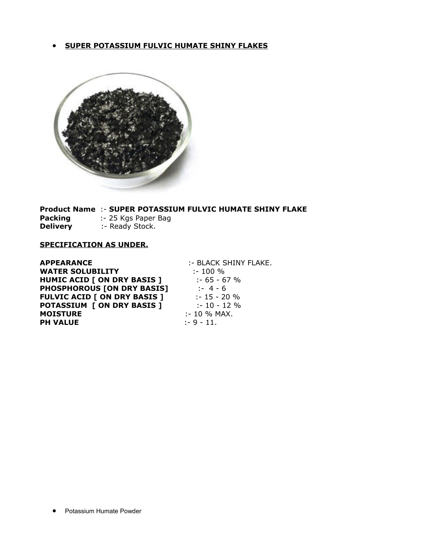#### · **SUPER POTASSIUM FULVIC HUMATE SHINY FLAKES**



**Product Name** :- **SUPER POTASSIUM FULVIC HUMATE SHINY FLAKE Packing** :- 25 Kgs Paper Bag

**Delivery** :- Ready Stock.

#### **SPECIFICATION AS UNDER.**

**APPEARANCE** :- BLACK SHINY FLAKE.<br>
WATER SOLUBILITY :- 100 % **WATER SOLUBILITY HUMIC ACID [ ON DRY BASIS ]** :- 65 - 67 % **PHOSPHOROUS [ON DRY BASIS]** :- 4 - 6 **FULVIC ACID [ ON DRY BASIS ]** :- 15 - 20 %<br> $\frac{15 - 20}{12}$ **POTASSIUM [ ON DRY BASIS ]** :- 10 - 12 % **MOISTURE** :- 10 % MAX. **PH VALUE** :- 9 - 11.

• Potassium Humate Powder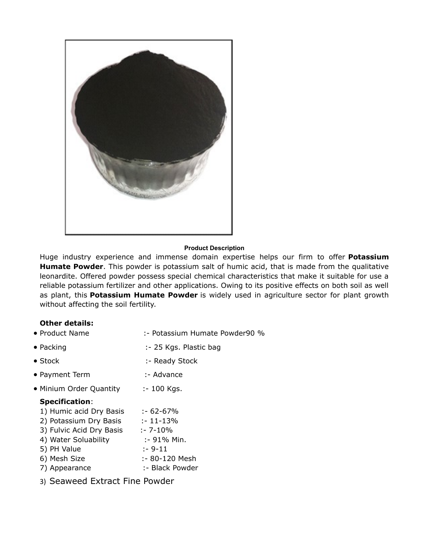

#### **Product Description**

Huge industry experience and immense domain expertise helps our firm to offer **Potassium Humate Powder**. This powder is potassium salt of humic acid, that is made from the qualitative leonardite. Offered powder possess special chemical characteristics that make it suitable for use a reliable potassium fertilizer and other applications. Owing to its positive effects on both soil as well as plant, this **Potassium Humate Powder** is widely used in agriculture sector for plant growth without affecting the soil fertility.

### **Other details:**

| • Product Name           | :- Potassium Humate Powder90 % |
|--------------------------|--------------------------------|
| $\bullet$ Packing        | :- 25 Kgs. Plastic bag         |
| $\bullet$ Stock          | :- Ready Stock                 |
| • Payment Term           | :- Advance                     |
| • Minium Order Quantity  | :- 100 Kgs.                    |
| <b>Specification:</b>    |                                |
| 1) Humic acid Dry Basis  | :- 62-67%                      |
| 2) Potassium Dry Basis   | :- 11-13%                      |
| 3) Fulvic Acid Dry Basis | :- 7-10%                       |
| 4) Water Soluability     | :- 91% Min.                    |
| 5) PH Value              | $: -9-11$                      |
| 6) Mesh Size             | :- 80-120 Mesh                 |

7) Appearance :- Black Powder

3) Seaweed Extract Fine Powder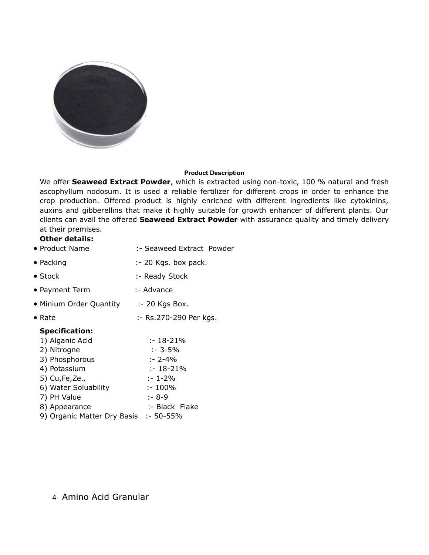

#### **Product Description**

We offer **Seaweed Extract Powder**, which is extracted using non-toxic, 100 % natural and fresh ascophyllum nodosum. It is used a reliable fertilizer for different crops in order to enhance the crop production. Offered product is highly enriched with different ingredients like cytokinins, auxins and gibberellins that make it highly suitable for growth enhancer of different plants. Our clients can avail the offered **Seaweed Extract Powder** with assurance quality and timely delivery at their premises.

#### **Other details:**

- Product Name :- Seaweed Extract Powder
- Packing :- 20 Kgs. box pack.
- Stock :- Ready Stock
- Payment Term :- Advance
- Minium Order Quantity : 20 Kgs Box.
- Rate :- Rs.270-290 Per kgs.

### **Specification:**

| 1) Alganic Acid                       | $: -18 - 21%$  |
|---------------------------------------|----------------|
| 2) Nitrogne                           | $: -3 - 5%$    |
| 3) Phosphorous                        | $: -2 - 4%$    |
| 4) Potassium                          | $: -18 - 21%$  |
| 5) Cu, Fe, Ze.,                       | $: -1 - 2\%$   |
| 6) Water Soluability                  | $: -100\%$     |
| 7) PH Value                           | $: -8-9$       |
| 8) Appearance                         | :- Black Flake |
| 9) Organic Matter Dry Basis :- 50-55% |                |

4- Amino Acid Granular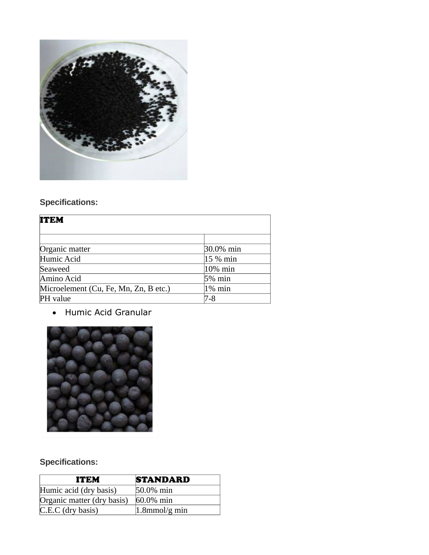

# **Specifications:**

| <b>ITEM</b>                           |            |  |
|---------------------------------------|------------|--|
|                                       |            |  |
| Organic matter                        | 30.0% min  |  |
| Humic Acid                            | 15 % min   |  |
| Seaweed                               | $10\%$ min |  |
| Amino Acid                            | $5%$ min   |  |
| Microelement (Cu, Fe, Mn, Zn, B etc.) | 1% min     |  |
| PH value                              | 7-8        |  |

· Humic Acid Granular



# **Specifications:**

| ITEM                       | <b>STANDARD</b>   |
|----------------------------|-------------------|
| Humic acid (dry basis)     | 50.0% min         |
| Organic matter (dry basis) | $60.0\%$ min      |
| $C.E.C$ (dry basis)        | $ 1.8$ mmol/g min |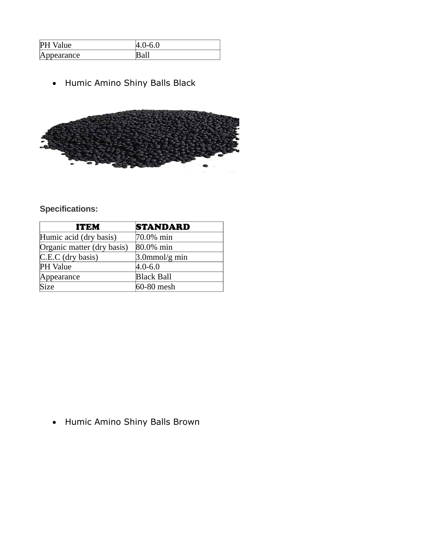| P <sub>F</sub><br>Value              | -6.0<br>−.<br>ັ |
|--------------------------------------|-----------------|
| ppearance<br>$\mathbb{A} \mathbb{p}$ |                 |

· Humic Amino Shiny Balls Black



### **Specifications:**

| <b>ITEM</b>                | <b>STANDARD</b>   |
|----------------------------|-------------------|
| Humic acid (dry basis)     | 70.0% min         |
| Organic matter (dry basis) | 80.0% min         |
| $C.E.C$ (dry basis)        | $3.0$ mmol/g min  |
| <b>PH</b> Value            | $4.0 - 6.0$       |
| Appearance                 | <b>Black Ball</b> |
| Size                       | 60-80 mesh        |

· Humic Amino Shiny Balls Brown